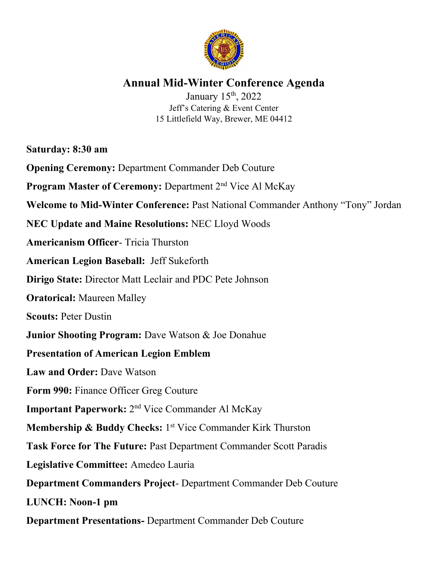

## **Annual Mid-Winter Conference Agenda**

January 15<sup>th</sup>, 2022 Jeff's Catering & Event Center 15 Littlefield Way, Brewer, ME 04412

**Saturday: 8:30 am**

**Opening Ceremony:** Department Commander Deb Couture

**Program Master of Ceremony: Department 2<sup>nd</sup> Vice Al McKay** 

**Welcome to Mid-Winter Conference:** Past National Commander Anthony "Tony" Jordan

**NEC Update and Maine Resolutions:** NEC Lloyd Woods

**Americanism Officer**- Tricia Thurston

**American Legion Baseball:** Jeff Sukeforth

**Dirigo State:** Director Matt Leclair and PDC Pete Johnson

**Oratorical:** Maureen Malley

**Scouts:** Peter Dustin

**Junior Shooting Program:** Dave Watson & Joe Donahue

## **Presentation of American Legion Emblem**

**Law and Order:** Dave Watson

**Form 990:** Finance Officer Greg Couture

**Important Paperwork:** 2<sup>nd</sup> Vice Commander Al McKay

**Membership & Buddy Checks:** 1<sup>st</sup> Vice Commander Kirk Thurston

**Task Force for The Future:** Past Department Commander Scott Paradis

**Legislative Committee:** Amedeo Lauria

**Department Commanders Project**- Department Commander Deb Couture

**LUNCH: Noon-1 pm**

**Department Presentations-** Department Commander Deb Couture